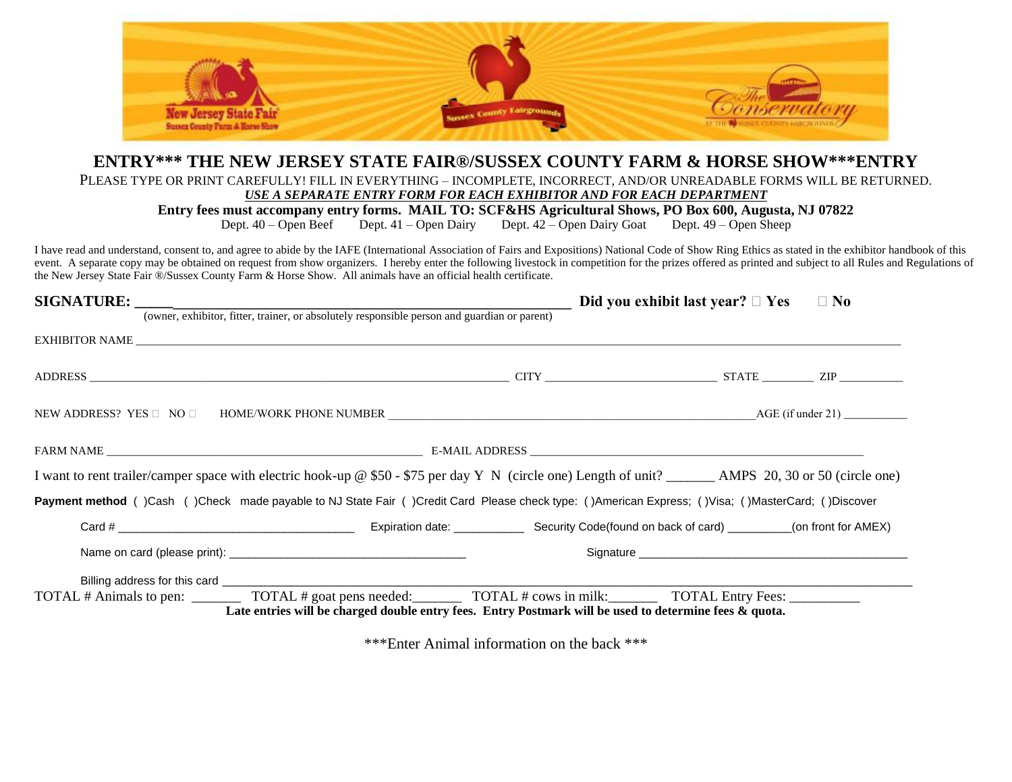

## **ENTRY\*\*\* THE NEW JERSEY STATE FAIR®/SUSSEX COUNTY FARM & HORSE SHOW\*\*\*ENTRY**

PLEASE TYPE OR PRINT CAREFULLY! FILL IN EVERYTHING – INCOMPLETE, INCORRECT, AND/OR UNREADABLE FORMS WILL BE RETURNED.

*USE A SEPARATE ENTRY FORM FOR EACH EXHIBITOR AND FOR EACH DEPARTMENT*

**Entry fees must accompany entry forms. MAIL TO: SCF&HS Agricultural Shows, PO Box 600, Augusta, NJ 07822**<br>Dept. 40 – Open Beef Dept. 41 – Open Dairy Dept. 42 – Open Dairy Goat Dept. 49 – Open Sheep

Dept.  $42 -$  Open Dairy Goat

I have read and understand, consent to, and agree to abide by the IAFE (International Association of Fairs and Expositions) National Code of Show Ring Ethics as stated in the exhibitor handbook of this event. A separate copy may be obtained on request from show organizers. I hereby enter the following livestock in competition for the prizes offered as printed and subject to all Rules and Regulations of the New Jersey State Fair ®/Sussex County Farm & Horse Show. All animals have an official health certificate.

|                                                                                                                                                                                                                                              | Did you exhibit last year? $\Box$ Yes $\Box$ No |  |  |  |
|----------------------------------------------------------------------------------------------------------------------------------------------------------------------------------------------------------------------------------------------|-------------------------------------------------|--|--|--|
| (owner, exhibitor, fitter, trainer, or absolutely responsible person and guardian or parent)                                                                                                                                                 |                                                 |  |  |  |
| EXHIBITOR NAME                                                                                                                                                                                                                               |                                                 |  |  |  |
|                                                                                                                                                                                                                                              |                                                 |  |  |  |
| NEW ADDRESS? YES $\Box$ NO $\Box$                                                                                                                                                                                                            |                                                 |  |  |  |
|                                                                                                                                                                                                                                              |                                                 |  |  |  |
| I want to rent trailer/camper space with electric hook-up @ \$50 - \$75 per day Y N (circle one) Length of unit? _________ AMPS 20, 30 or 50 (circle one)                                                                                    |                                                 |  |  |  |
| Payment method ()Cash ()Check made payable to NJ State Fair ()Credit Card Please check type: ()American Express; ()Visa; ()MasterCard; ()Discover                                                                                            |                                                 |  |  |  |
|                                                                                                                                                                                                                                              |                                                 |  |  |  |
|                                                                                                                                                                                                                                              |                                                 |  |  |  |
|                                                                                                                                                                                                                                              |                                                 |  |  |  |
| TOTAL # Animals to pen: __________ TOTAL # goat pens needed: _________ TOTAL # cows in milk: ________ TOTAL Entry Fees: __________<br>Late entries will be charged double entry fees. Entry Postmark will be used to determine fees & quota. |                                                 |  |  |  |

\*\*\*Enter Animal information on the back \*\*\*